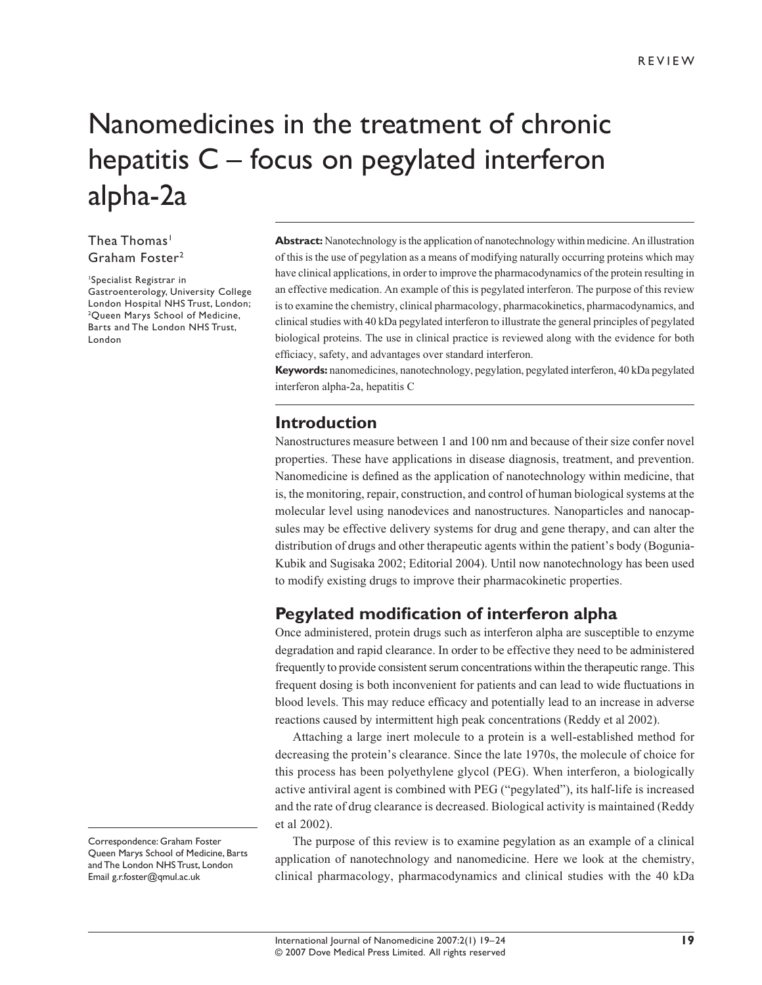# Nanomedicines in the treatment of chronic hepatitis C – focus on pegylated interferon alpha-2a

#### Thea Thomas<sup>1</sup> Graham Foster<sup>2</sup>

1 Specialist Registrar in Gastroenterology, University College London Hospital NHS Trust, London; <sup>2</sup>Queen Marys School of Medicine, Barts and The London NHS Trust, London

**Abstract:** Nanotechnology is the application of nanotechnology within medicine. An illustration of this is the use of pegylation as a means of modifying naturally occurring proteins which may have clinical applications, in order to improve the pharmacodynamics of the protein resulting in an effective medication. An example of this is pegylated interferon. The purpose of this review is to examine the chemistry, clinical pharmacology, pharmacokinetics, pharmacodynamics, and clinical studies with 40 kDa pegylated interferon to illustrate the general principles of pegylated biological proteins. The use in clinical practice is reviewed along with the evidence for both efficiacy, safety, and advantages over standard interferon.

**Keywords:** nanomedicines, nanotechnology, pegylation, pegylated interferon, 40 kDa pegylated interferon alpha-2a, hepatitis C

#### **Introduction**

Nanostructures measure between 1 and 100 nm and because of their size confer novel properties. These have applications in disease diagnosis, treatment, and prevention. Nanomedicine is defined as the application of nanotechnology within medicine, that is, the monitoring, repair, construction, and control of human biological systems at the molecular level using nanodevices and nanostructures. Nanoparticles and nanocapsules may be effective delivery systems for drug and gene therapy, and can alter the distribution of drugs and other therapeutic agents within the patient's body (Bogunia-Kubik and Sugisaka 2002; Editorial 2004). Until now nanotechnology has been used to modify existing drugs to improve their pharmacokinetic properties.

## **Pegylated modification of interferon alpha**

Once administered, protein drugs such as interferon alpha are susceptible to enzyme degradation and rapid clearance. In order to be effective they need to be administered frequently to provide consistent serum concentrations within the therapeutic range. This frequent dosing is both inconvenient for patients and can lead to wide fluctuations in blood levels. This may reduce efficacy and potentially lead to an increase in adverse reactions caused by intermittent high peak concentrations (Reddy et al 2002).

Attaching a large inert molecule to a protein is a well-established method for decreasing the protein's clearance. Since the late 1970s, the molecule of choice for this process has been polyethylene glycol (PEG). When interferon, a biologically active antiviral agent is combined with PEG ("pegylated"), its half-life is increased and the rate of drug clearance is decreased. Biological activity is maintained (Reddy et al 2002).

The purpose of this review is to examine pegylation as an example of a clinical application of nanotechnology and nanomedicine. Here we look at the chemistry, clinical pharmacology, pharmacodynamics and clinical studies with the 40 kDa

Correspondence: Graham Foster Queen Marys School of Medicine, Barts and The London NHS Trust, London Email g.r.foster@qmul.ac.uk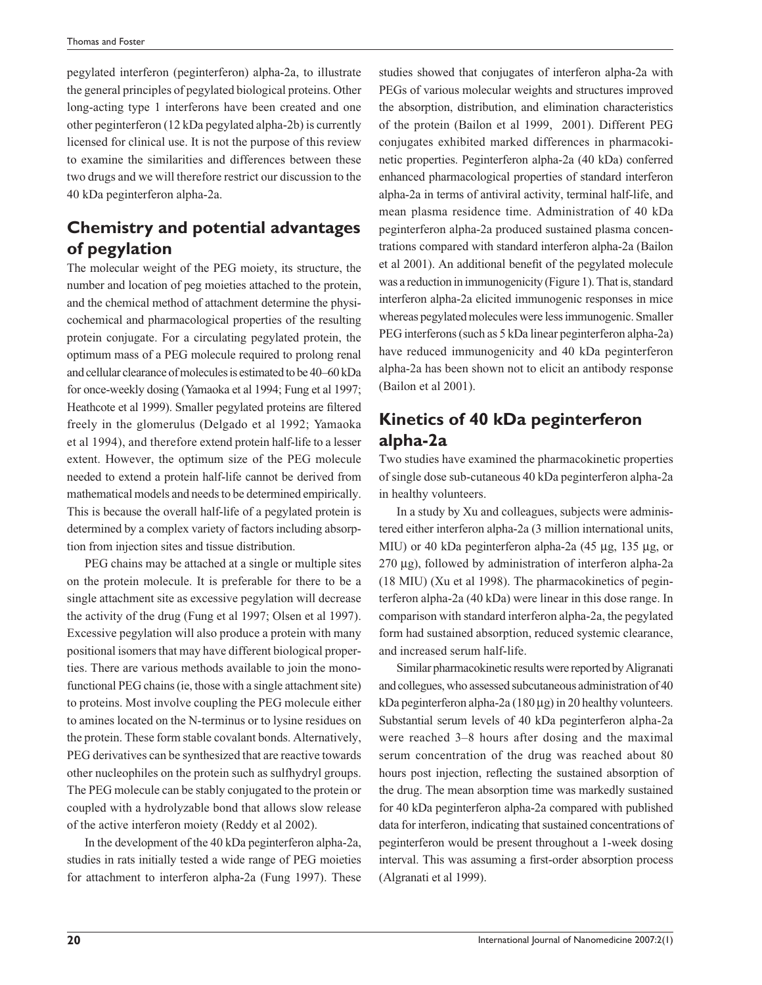pegylated interferon (peginterferon) alpha-2a, to illustrate the general principles of pegylated biological proteins. Other long-acting type 1 interferons have been created and one other peginterferon (12 kDa pegylated alpha-2b) is currently licensed for clinical use. It is not the purpose of this review to examine the similarities and differences between these two drugs and we will therefore restrict our discussion to the 40 kDa peginterferon alpha-2a.

# **Chemistry and potential advantages of pegylation**

The molecular weight of the PEG moiety, its structure, the number and location of peg moieties attached to the protein, and the chemical method of attachment determine the physicochemical and pharmacological properties of the resulting protein conjugate. For a circulating pegylated protein, the optimum mass of a PEG molecule required to prolong renal and cellular clearance of molecules is estimated to be 40–60 kDa for once-weekly dosing (Yamaoka et al 1994; Fung et al 1997; Heathcote et al 1999). Smaller pegylated proteins are filtered freely in the glomerulus (Delgado et al 1992; Yamaoka et al 1994), and therefore extend protein half-life to a lesser extent. However, the optimum size of the PEG molecule needed to extend a protein half-life cannot be derived from mathematical models and needs to be determined empirically. This is because the overall half-life of a pegylated protein is determined by a complex variety of factors including absorption from injection sites and tissue distribution.

PEG chains may be attached at a single or multiple sites on the protein molecule. It is preferable for there to be a single attachment site as excessive pegylation will decrease the activity of the drug (Fung et al 1997; Olsen et al 1997). Excessive pegylation will also produce a protein with many positional isomers that may have different biological properties. There are various methods available to join the monofunctional PEG chains (ie, those with a single attachment site) to proteins. Most involve coupling the PEG molecule either to amines located on the N-terminus or to lysine residues on the protein. These form stable covalant bonds. Alternatively, PEG derivatives can be synthesized that are reactive towards other nucleophiles on the protein such as sulfhydryl groups. The PEG molecule can be stably conjugated to the protein or coupled with a hydrolyzable bond that allows slow release of the active interferon moiety (Reddy et al 2002).

In the development of the 40 kDa peginterferon alpha-2a, studies in rats initially tested a wide range of PEG moieties for attachment to interferon alpha-2a (Fung 1997). These studies showed that conjugates of interferon alpha-2a with PEGs of various molecular weights and structures improved the absorption, distribution, and elimination characteristics of the protein (Bailon et al 1999, 2001). Different PEG conjugates exhibited marked differences in pharmacokinetic properties. Peginterferon alpha-2a (40 kDa) conferred enhanced pharmacological properties of standard interferon alpha-2a in terms of antiviral activity, terminal half-life, and mean plasma residence time. Administration of 40 kDa peginterferon alpha-2a produced sustained plasma concentrations compared with standard interferon alpha-2a (Bailon et al 2001). An additional benefit of the pegylated molecule was a reduction in immunogenicity (Figure 1). That is, standard interferon alpha-2a elicited immunogenic responses in mice whereas pegylated molecules were less immunogenic. Smaller PEG interferons (such as 5 kDa linear peginterferon alpha-2a) have reduced immunogenicity and 40 kDa peginterferon alpha-2a has been shown not to elicit an antibody response (Bailon et al 2001).

## **Kinetics of 40 kDa peginterferon alpha-2a**

Two studies have examined the pharmacokinetic properties of single dose sub-cutaneous 40 kDa peginterferon alpha-2a in healthy volunteers.

In a study by Xu and colleagues, subjects were administered either interferon alpha-2a (3 million international units, MIU) or 40 kDa peginterferon alpha-2a (45 μg, 135 μg, or 270 μg), followed by administration of interferon alpha-2a (18 MIU) (Xu et al 1998). The pharmacokinetics of peginterferon alpha-2a (40 kDa) were linear in this dose range. In comparison with standard interferon alpha-2a, the pegylated form had sustained absorption, reduced systemic clearance, and increased serum half-life.

Similar pharmacokinetic results were reported by Aligranati and collegues, who assessed subcutaneous administration of 40 kDa peginterferon alpha-2a (180 μg) in 20 healthy volunteers. Substantial serum levels of 40 kDa peginterferon alpha-2a were reached 3–8 hours after dosing and the maximal serum concentration of the drug was reached about 80 hours post injection, reflecting the sustained absorption of the drug. The mean absorption time was markedly sustained for 40 kDa peginterferon alpha-2a compared with published data for interferon, indicating that sustained concentrations of peginterferon would be present throughout a 1-week dosing interval. This was assuming a first-order absorption process (Algranati et al 1999).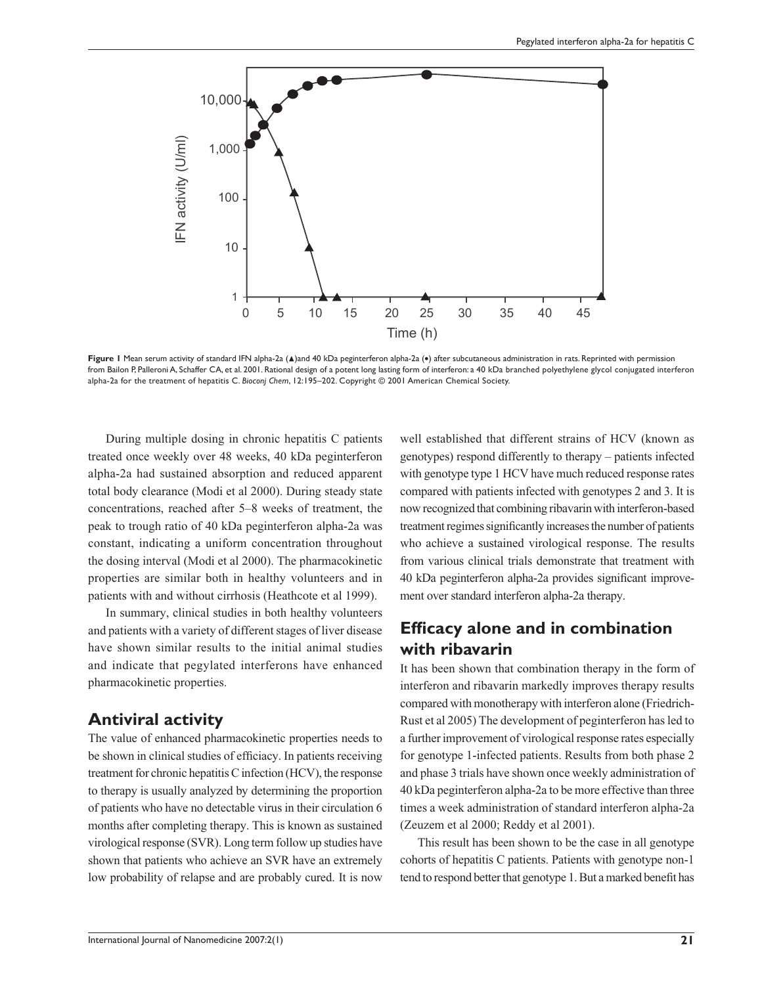

**Figure 1** Mean serum activity of standard IFN alpha-2a (▲)and 40 kDa peginterferon alpha-2a (•) after subcutaneous administration in rats. Reprinted with permission from Bailon P, Palleroni A, Schaffer CA, et al. 2001. Rational design of a potent long lasting form of interferon: a 40 kDa branched polyethylene glycol conjugated interferon alpha-2a for the treatment of hepatitis C. *Bioconj Chem*, 12:195–202. Copyright © 2001 American Chemical Society.

During multiple dosing in chronic hepatitis C patients treated once weekly over 48 weeks, 40 kDa peginterferon alpha-2a had sustained absorption and reduced apparent total body clearance (Modi et al 2000). During steady state concentrations, reached after 5–8 weeks of treatment, the peak to trough ratio of 40 kDa peginterferon alpha-2a was constant, indicating a uniform concentration throughout the dosing interval (Modi et al 2000). The pharmacokinetic properties are similar both in healthy volunteers and in patients with and without cirrhosis (Heathcote et al 1999).

In summary, clinical studies in both healthy volunteers and patients with a variety of different stages of liver disease have shown similar results to the initial animal studies and indicate that pegylated interferons have enhanced pharmacokinetic properties.

#### **Antiviral activity**

The value of enhanced pharmacokinetic properties needs to be shown in clinical studies of efficiacy. In patients receiving treatment for chronic hepatitis C infection (HCV), the response to therapy is usually analyzed by determining the proportion of patients who have no detectable virus in their circulation 6 months after completing therapy. This is known as sustained virological response (SVR). Long term follow up studies have shown that patients who achieve an SVR have an extremely low probability of relapse and are probably cured. It is now

well established that different strains of HCV (known as genotypes) respond differently to therapy – patients infected with genotype type 1 HCV have much reduced response rates compared with patients infected with genotypes 2 and 3. It is now recognized that combining ribavarin with interferon-based treatment regimes significantly increases the number of patients who achieve a sustained virological response. The results from various clinical trials demonstrate that treatment with 40 kDa peginterferon alpha-2a provides significant improvement over standard interferon alpha-2a therapy.

## **Efficacy alone and in combination with ribavarin**

It has been shown that combination therapy in the form of interferon and ribavarin markedly improves therapy results compared with monotherapy with interferon alone (Friedrich-Rust et al 2005) The development of peginterferon has led to a further improvement of virological response rates especially for genotype 1-infected patients. Results from both phase 2 and phase 3 trials have shown once weekly administration of 40 kDa peginterferon alpha-2a to be more effective than three times a week administration of standard interferon alpha-2a (Zeuzem et al 2000; Reddy et al 2001).

This result has been shown to be the case in all genotype cohorts of hepatitis C patients. Patients with genotype non-1 tend to respond better that genotype 1. But a marked benefit has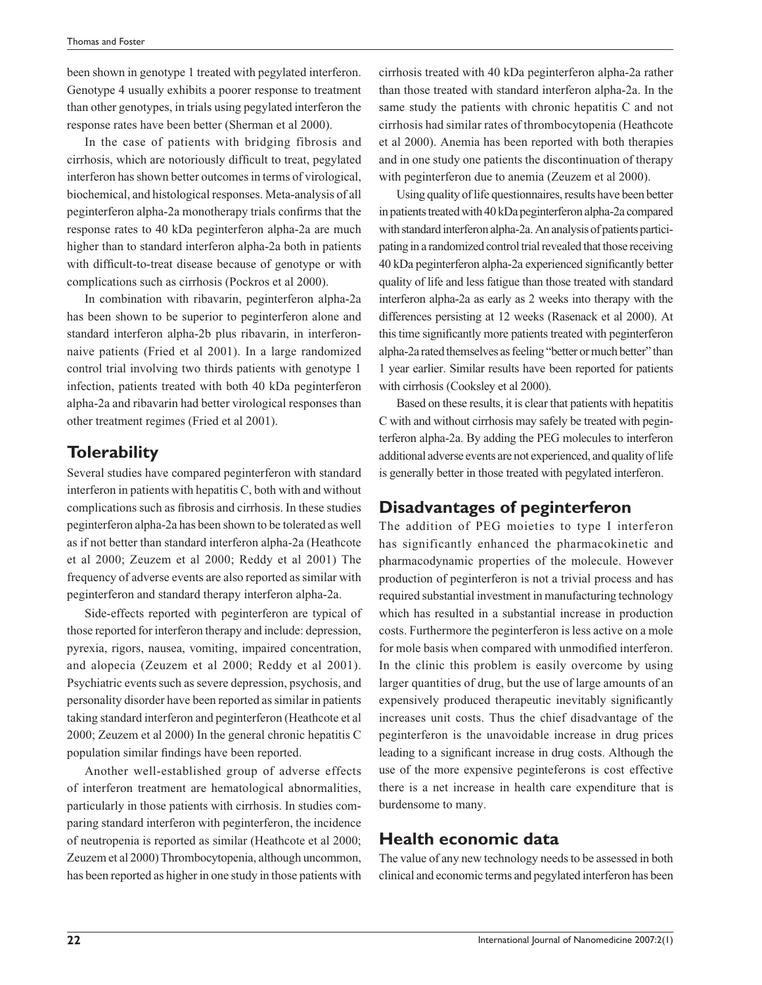been shown in genotype 1 treated with pegylated interferon. Genotype 4 usually exhibits a poorer response to treatment than other genotypes, in trials using pegylated interferon the response rates have been better (Sherman et al 2000).

In the case of patients with bridging fibrosis and cirrhosis, which are notoriously difficult to treat, pegylated interferon has shown better outcomes in terms of virological, biochemical, and histological responses. Meta-analysis of all peginterferon alpha-2a monotherapy trials confirms that the response rates to 40 kDa peginterferon alpha-2a are much higher than to standard interferon alpha-2a both in patients with difficult-to-treat disease because of genotype or with complications such as cirrhosis (Pockros et al 2000).

In combination with ribavarin, peginterferon alpha-2a has been shown to be superior to peginterferon alone and standard interferon alpha-2b plus ribavarin, in interferonnaive patients (Fried et al 2001). In a large randomized control trial involving two thirds patients with genotype 1 infection, patients treated with both 40 kDa peginterferon alpha-2a and ribavarin had better virological responses than other treatment regimes (Fried et al 2001).

## **Tolerability**

Several studies have compared peginterferon with standard interferon in patients with hepatitis C, both with and without complications such as fibrosis and cirrhosis. In these studies peginterferon alpha-2a has been shown to be tolerated as well as if not better than standard interferon alpha-2a (Heathcote et al 2000; Zeuzem et al 2000; Reddy et al 2001) The frequency of adverse events are also reported as similar with peginterferon and standard therapy interferon alpha-2a.

Side-effects reported with peginterferon are typical of those reported for interferon therapy and include: depression, pyrexia, rigors, nausea, vomiting, impaired concentration, and alopecia (Zeuzem et al 2000; Reddy et al 2001). Psychiatric events such as severe depression, psychosis, and personality disorder have been reported as similar in patients taking standard interferon and peginterferon (Heathcote et al 2000; Zeuzem et al 2000) In the general chronic hepatitis C population similar findings have been reported.

Another well-established group of adverse effects of interferon treatment are hematological abnormalities, particularly in those patients with cirrhosis. In studies comparing standard interferon with peginterferon, the incidence of neutropenia is reported as similar (Heathcote et al 2000; Zeuzem et al 2000) Thrombocytopenia, although uncommon, has been reported as higher in one study in those patients with cirrhosis treated with 40 kDa peginterferon alpha-2a rather than those treated with standard interferon alpha-2a. In the same study the patients with chronic hepatitis C and not cirrhosis had similar rates of thrombocytopenia (Heathcote et al 2000). Anemia has been reported with both therapies and in one study one patients the discontinuation of therapy with peginterferon due to anemia (Zeuzem et al 2000).

Using quality of life questionnaires, results have been better in patients treated with 40 kDa peginterferon alpha-2a compared with standard interferon alpha-2a. An analysis of patients participating in a randomized control trial revealed that those receiving 40 kDa peginterferon alpha-2a experienced significantly better quality of life and less fatigue than those treated with standard interferon alpha-2a as early as 2 weeks into therapy with the differences persisting at 12 weeks (Rasenack et al 2000). At this time significantly more patients treated with peginterferon alpha-2a rated themselves as feeling "better or much better" than 1 year earlier. Similar results have been reported for patients with cirrhosis (Cooksley et al 2000).

Based on these results, it is clear that patients with hepatitis C with and without cirrhosis may safely be treated with peginterferon alpha-2a. By adding the PEG molecules to interferon additional adverse events are not experienced, and quality of life is generally better in those treated with pegylated interferon.

## **Disadvantages of peginterferon**

The addition of PEG moieties to type I interferon has significantly enhanced the pharmacokinetic and pharmacodynamic properties of the molecule. However production of peginterferon is not a trivial process and has required substantial investment in manufacturing technology which has resulted in a substantial increase in production costs. Furthermore the peginterferon is less active on a mole for mole basis when compared with unmodified interferon. In the clinic this problem is easily overcome by using larger quantities of drug, but the use of large amounts of an expensively produced therapeutic inevitably significantly increases unit costs. Thus the chief disadvantage of the peginterferon is the unavoidable increase in drug prices leading to a significant increase in drug costs. Although the use of the more expensive peginteferons is cost effective there is a net increase in health care expenditure that is burdensome to many.

#### **Health economic data**

The value of any new technology needs to be assessed in both clinical and economic terms and pegylated interferon has been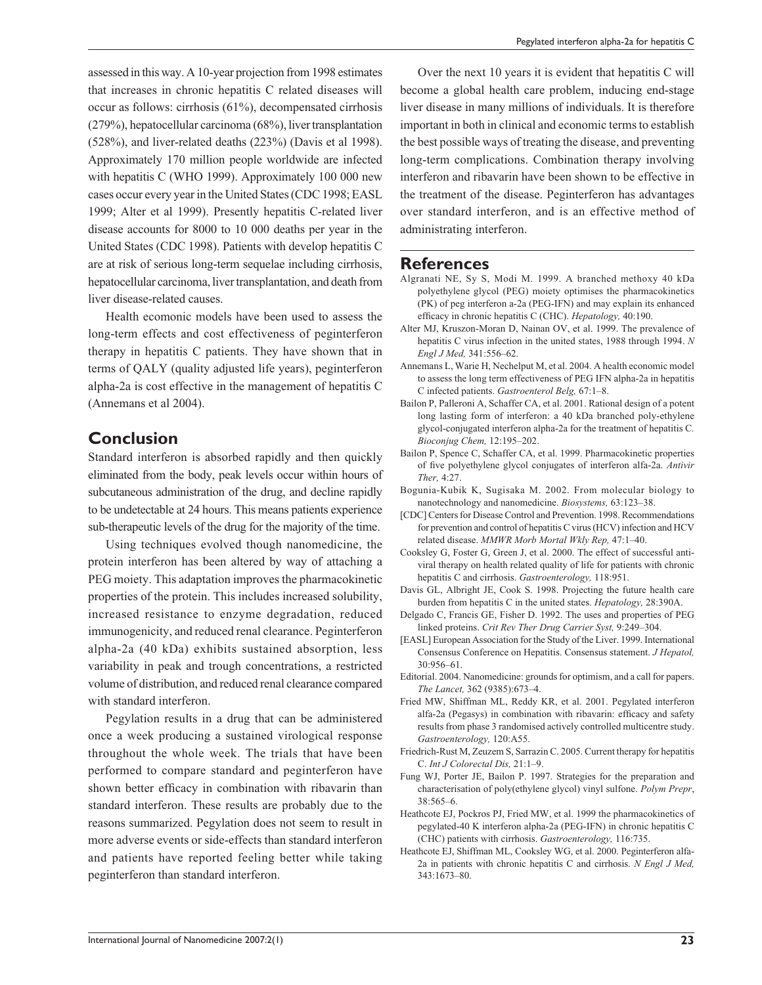assessed in this way. A 10-year projection from 1998 estimates that increases in chronic hepatitis C related diseases will occur as follows: cirrhosis (61%), decompensated cirrhosis (279%), hepatocellular carcinoma (68%), liver transplantation (528%), and liver-related deaths (223%) (Davis et al 1998). Approximately 170 million people worldwide are infected with hepatitis C (WHO 1999). Approximately 100 000 new cases occur every year in the United States (CDC 1998; EASL 1999; Alter et al 1999). Presently hepatitis C-related liver disease accounts for 8000 to 10 000 deaths per year in the United States (CDC 1998). Patients with develop hepatitis C are at risk of serious long-term sequelae including cirrhosis, hepatocellular carcinoma, liver transplantation, and death from liver disease-related causes.

Health ecomonic models have been used to assess the long-term effects and cost effectiveness of peginterferon therapy in hepatitis C patients. They have shown that in terms of QALY (quality adjusted life years), peginterferon alpha-2a is cost effective in the management of hepatitis C (Annemans et al 2004).

#### **Conclusion**

Standard interferon is absorbed rapidly and then quickly eliminated from the body, peak levels occur within hours of subcutaneous administration of the drug, and decline rapidly to be undetectable at 24 hours. This means patients experience sub-therapeutic levels of the drug for the majority of the time.

Using techniques evolved though nanomedicine, the protein interferon has been altered by way of attaching a PEG moiety. This adaptation improves the pharmacokinetic properties of the protein. This includes increased solubility, increased resistance to enzyme degradation, reduced immunogenicity, and reduced renal clearance. Peginterferon alpha-2a (40 kDa) exhibits sustained absorption, less variability in peak and trough concentrations, a restricted volume of distribution, and reduced renal clearance compared with standard interferon.

Pegylation results in a drug that can be administered once a week producing a sustained virological response throughout the whole week. The trials that have been performed to compare standard and peginterferon have shown better efficacy in combination with ribavarin than standard interferon. These results are probably due to the reasons summarized. Pegylation does not seem to result in more adverse events or side-effects than standard interferon and patients have reported feeling better while taking peginterferon than standard interferon.

Over the next 10 years it is evident that hepatitis C will become a global health care problem, inducing end-stage liver disease in many millions of individuals. It is therefore important in both in clinical and economic terms to establish the best possible ways of treating the disease, and preventing long-term complications. Combination therapy involving interferon and ribavarin have been shown to be effective in the treatment of the disease. Peginterferon has advantages over standard interferon, and is an effective method of administrating interferon.

#### **References**

- Algranati NE, Sy S, Modi M. 1999. A branched methoxy 40 kDa polyethylene glycol (PEG) moiety optimises the pharmacokinetics (PK) of peg interferon a-2a (PEG-IFN) and may explain its enhanced efficacy in chronic hepatitis C (CHC). *Hepatology*, 40:190.
- Alter MJ, Kruszon-Moran D, Nainan OV, et al. 1999. The prevalence of hepatitis C virus infection in the united states, 1988 through 1994. *N Engl J Med,* 341:556–62.
- Annemans L, Warie H, Nechelput M, et al. 2004. A health economic model to assess the long term effectiveness of PEG IFN alpha-2a in hepatitis C infected patients. *Gastroenterol Belg,* 67:1–8.
- Bailon P, Palleroni A, Schaffer CA, et al. 2001. Rational design of a potent long lasting form of interferon: a 40 kDa branched poly-ethylene glycol-conjugated interferon alpha-2a for the treatment of hepatitis C*. Bioconjug Chem,* 12:195–202.
- Bailon P, Spence C, Schaffer CA, et al. 1999. Pharmacokinetic properties of five polyethylene glycol conjugates of interferon alfa-2a. Antivir *Ther,* 4:27.
- Bogunia-Kubik K, Sugisaka M. 2002. From molecular biology to nanotechnology and nanomedicine. *Biosystems,* 63:123–38.
- [CDC] Centers for Disease Control and Prevention. 1998. Recommendations for prevention and control of hepatitis C virus (HCV) infection and HCV related disease. *MMWR Morb Mortal Wkly Rep,* 47:1–40.
- Cooksley G, Foster G, Green J, et al. 2000. The effect of successful antiviral therapy on health related quality of life for patients with chronic hepatitis C and cirrhosis. *Gastroenterology,* 118:951.
- Davis GL, Albright JE, Cook S. 1998. Projecting the future health care burden from hepatitis C in the united states. *Hepatology,* 28:390A.
- Delgado C, Francis GE, Fisher D. 1992. The uses and properties of PEG linked proteins. *Crit Rev Ther Drug Carrier Syst,* 9:249–304.
- [EASL] European Association for the Study of the Liver. 1999. International Consensus Conference on Hepatitis. Consensus statement. *J Hepatol,*  30:956–61.
- Editorial. 2004. Nanomedicine: grounds for optimism, and a call for papers. *The Lancet,* 362 (9385):673–4.
- Fried MW, Shiffman ML, Reddy KR, et al. 2001. Pegylated interferon alfa-2a (Pegasys) in combination with ribavarin: efficacy and safety results from phase 3 randomised actively controlled multicentre study. *Gastroenterology,* 120:A55.
- Friedrich-Rust M, Zeuzem S, Sarrazin C. 2005. Current therapy for hepatitis C. *Int J Colorectal Dis,* 21:1–9.
- Fung WJ, Porter JE, Bailon P. 1997. Strategies for the preparation and characterisation of poly(ethylene glycol) vinyl sulfone. *Polym Prepr*, 38:565–6.
- Heathcote EJ, Pockros PJ, Fried MW, et al. 1999 the pharmacokinetics of pegylated-40 K interferon alpha-2a (PEG-IFN) in chronic hepatitis C (CHC) patients with cirrhosis. *Gastroenterology,* 116:735.
- Heathcote EJ, Shiffman ML, Cooksley WG, et al. 2000. Peginterferon alfa-2a in patients with chronic hepatitis C and cirrhosis. *N Engl J Med,*  343:1673–80.